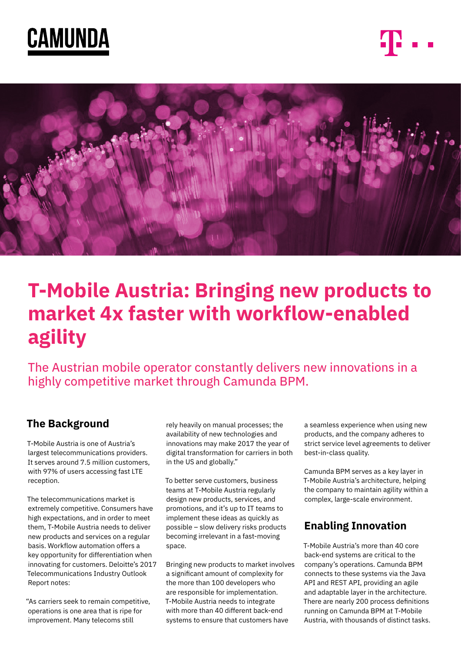





# **T-Mobile Austria: Bringing new products to market 4x faster with workflow-enabled agility**

The Austrian mobile operator constantly delivers new innovations in a highly competitive market through Camunda BPM.

# **The Background**

T-Mobile Austria is one of Austria's largest telecommunications providers. It serves around 7.5 million customers, with 97% of users accessing fast LTE reception.

The telecommunications market is extremely competitive. Consumers have high expectations, and in order to meet them, T-Mobile Austria needs to deliver new products and services on a regular basis. Workflow automation offers a key opportunity for differentiation when innovating for customers. Deloitte's 2017 Telecommunications Industry Outlook Report notes:

"As carriers seek to remain competitive, operations is one area that is ripe for improvement. Many telecoms still

rely heavily on manual processes; the availability of new technologies and innovations may make 2017 the year of digital transformation for carriers in both in the US and globally."

To better serve customers, business teams at T-Mobile Austria regularly design new products, services, and promotions, and it's up to IT teams to implement these ideas as quickly as possible – slow delivery risks products becoming irrelevant in a fast-moving space.

Bringing new products to market involves a significant amount of complexity for the more than 100 developers who are responsible for implementation. T-Mobile Austria needs to integrate with more than 40 different back-end systems to ensure that customers have

a seamless experience when using new products, and the company adheres to strict service level agreements to deliver best-in-class quality.

Camunda BPM serves as a key layer in T-Mobile Austria's architecture, helping the company to maintain agility within a complex, large-scale environment.

# **Enabling Innovation**

T-Mobile Austria's more than 40 core back-end systems are critical to the company's operations. Camunda BPM connects to these systems via the Java API and REST API, providing an agile and adaptable layer in the architecture. There are nearly 200 process definitions running on Camunda BPM at T-Mobile Austria, with thousands of distinct tasks.